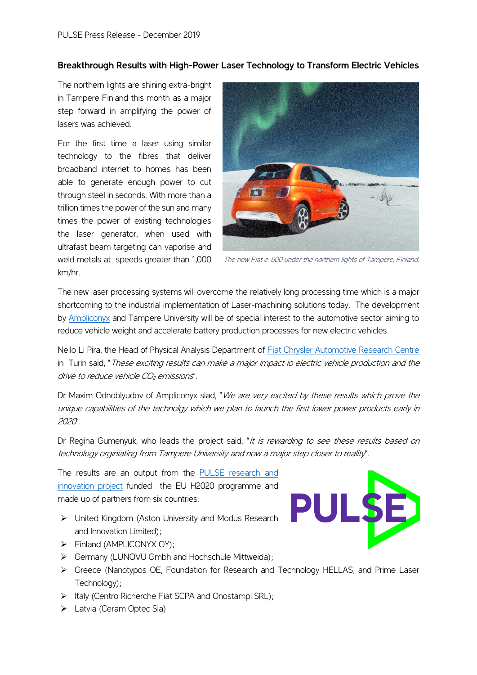## **Breakthrough Results with High-Power Laser Technology to Transform Electric Vehicles**

The northern lights are shining extra-bright in Tampere Finland this month as a major step forward in amplifying the power of lasers was achieved.

For the first time a laser using similar technology to the fibres that deliver broadband internet to homes has been able to generate enough power to cut through steel in seconds. With more than a trillion times the power of the sun and many times the power of existing technologies the laser generator, when used with ultrafast beam targeting can vaporise and weld metals at speeds greater than 1,000 km/hr.



The new Fiat e-500 under the northern lights of Tampere, Finland.

The new laser processing systems will overcome the relatively long processing time which is a major shortcoming to the industrial implementation of Laser-machining solutions today. The development by [Ampliconyx](http://ampliconyx.com/) and Tampere University will be of special interest to the automotive sector aiming to reduce vehicle weight and accelerate battery production processes for new electric vehicles.

Nello Li Pira, the Head of Physical Analysis Department of [Fiat Chrysler Automotive Research Centre](https://www.crf.it/EN) in Turin said, "These exciting results can make a major impact io electric vehicle production and the drive to reduce vehicle  $CO<sub>2</sub>$  emissions".

Dr Maxim Odnoblyudov of Ampliconyx siad, "We are very excited by these results which prove the unique capabilities of the technolgy which we plan to launch the first lower power products early in 2020".

Dr Regina Gumenyuk, who leads the project said, "It is rewarding to see these results based on technology orginiating from Tampere University and now a major step closer to reality".

The results are an output from the [PULSE research and](https://www.pulse-laser.eu/)  [innovation project](https://www.pulse-laser.eu/) funded the EU H2020 programme and made up of partners from six countries:

- ➢ United Kingdom (Aston University and Modus Research and Innovation Limited);
- ➢ Finland (AMPLICONYX OY);
- ➢ Germany (LUNOVU Gmbh and Hochschule Mittweida);
- ➢ Greece (Nanotypos OE, Foundation for Research and Technology HELLAS, and Prime Laser Technology);
- ➢ Italy (Centro Richerche Fiat SCPA and Onostampi SRL);
- ➢ Latvia (Ceram Optec Sia)